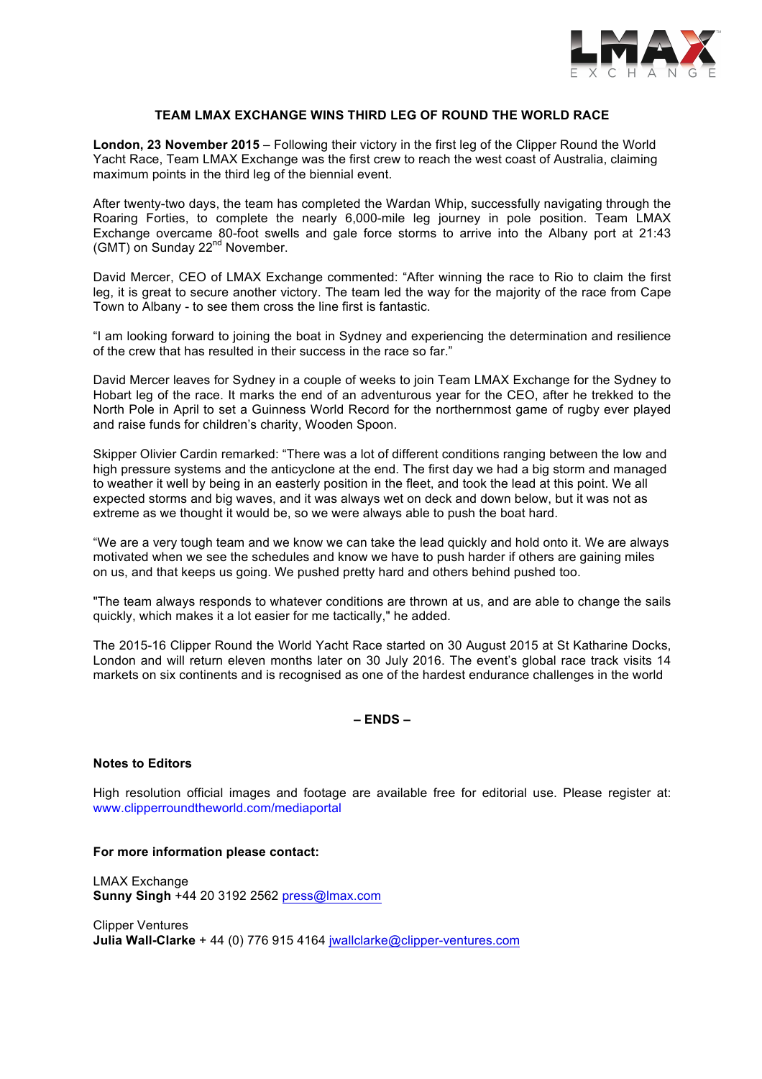

## **TEAM LMAX EXCHANGE WINS THIRD LEG OF ROUND THE WORLD RACE**

**London, 23 November 2015** – Following their victory in the first leg of the Clipper Round the World Yacht Race, Team LMAX Exchange was the first crew to reach the west coast of Australia, claiming maximum points in the third leg of the biennial event.

After twenty-two days, the team has completed the Wardan Whip, successfully navigating through the Roaring Forties, to complete the nearly 6,000-mile leg journey in pole position. Team LMAX Exchange overcame 80-foot swells and gale force storms to arrive into the Albany port at 21:43 (GMT) on Sunday 22<sup>nd</sup> November.

David Mercer, CEO of LMAX Exchange commented: "After winning the race to Rio to claim the first leg, it is great to secure another victory. The team led the way for the majority of the race from Cape Town to Albany - to see them cross the line first is fantastic.

"I am looking forward to joining the boat in Sydney and experiencing the determination and resilience of the crew that has resulted in their success in the race so far."

David Mercer leaves for Sydney in a couple of weeks to join Team LMAX Exchange for the Sydney to Hobart leg of the race. It marks the end of an adventurous year for the CEO, after he trekked to the North Pole in April to set a Guinness World Record for the northernmost game of rugby ever played and raise funds for children's charity, Wooden Spoon.

Skipper Olivier Cardin remarked: "There was a lot of different conditions ranging between the low and high pressure systems and the anticyclone at the end. The first day we had a big storm and managed to weather it well by being in an easterly position in the fleet, and took the lead at this point. We all expected storms and big waves, and it was always wet on deck and down below, but it was not as extreme as we thought it would be, so we were always able to push the boat hard.

"We are a very tough team and we know we can take the lead quickly and hold onto it. We are always motivated when we see the schedules and know we have to push harder if others are gaining miles on us, and that keeps us going. We pushed pretty hard and others behind pushed too.

"The team always responds to whatever conditions are thrown at us, and are able to change the sails quickly, which makes it a lot easier for me tactically," he added.

The 2015-16 Clipper Round the World Yacht Race started on 30 August 2015 at St Katharine Docks, London and will return eleven months later on 30 July 2016. The event's global race track visits 14 markets on six continents and is recognised as one of the hardest endurance challenges in the world

# **– ENDS –**

## **Notes to Editors**

High resolution official images and footage are available free for editorial use. Please register at: www.clipperroundtheworld.com/mediaportal

## **For more information please contact:**

LMAX Exchange **Sunny Singh** +44 20 3192 2562 press@lmax.com

Clipper Ventures **Julia Wall-Clarke** + 44 (0) 776 915 4164 jwallclarke@clipper-ventures.com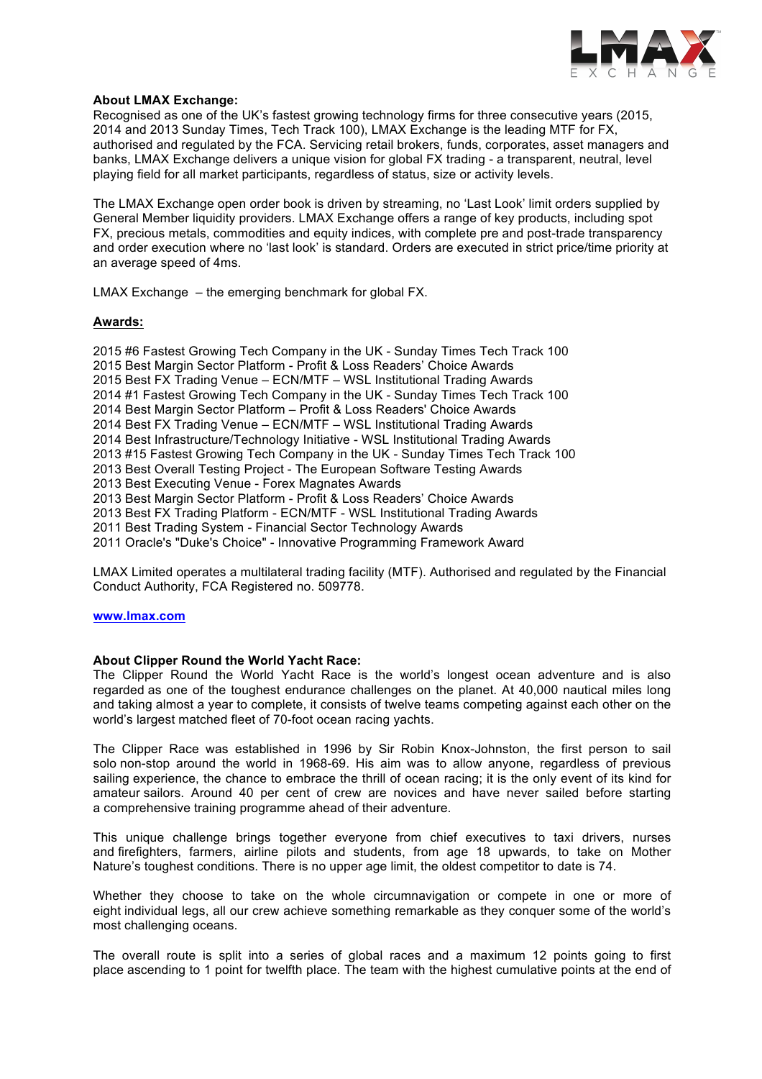

## **About LMAX Exchange:**

Recognised as one of the UK's fastest growing technology firms for three consecutive years (2015, 2014 and 2013 Sunday Times, Tech Track 100), LMAX Exchange is the leading MTF for FX, authorised and regulated by the FCA. Servicing retail brokers, funds, corporates, asset managers and banks, LMAX Exchange delivers a unique vision for global FX trading - a transparent, neutral, level playing field for all market participants, regardless of status, size or activity levels.

The LMAX Exchange open order book is driven by streaming, no 'Last Look' limit orders supplied by General Member liquidity providers. LMAX Exchange offers a range of key products, including spot FX, precious metals, commodities and equity indices, with complete pre and post-trade transparency and order execution where no 'last look' is standard. Orders are executed in strict price/time priority at an average speed of 4ms.

LMAX Exchange – the emerging benchmark for global FX.

## **Awards:**

2015 #6 Fastest Growing Tech Company in the UK - Sunday Times Tech Track 100 2015 Best Margin Sector Platform - Profit & Loss Readers' Choice Awards 2015 Best FX Trading Venue – ECN/MTF – WSL Institutional Trading Awards 2014 #1 Fastest Growing Tech Company in the UK - Sunday Times Tech Track 100 2014 Best Margin Sector Platform – Profit & Loss Readers' Choice Awards 2014 Best FX Trading Venue – ECN/MTF – WSL Institutional Trading Awards 2014 Best Infrastructure/Technology Initiative - WSL Institutional Trading Awards 2013 #15 Fastest Growing Tech Company in the UK - Sunday Times Tech Track 100 2013 Best Overall Testing Project - The European Software Testing Awards 2013 Best Executing Venue - Forex Magnates Awards 2013 Best Margin Sector Platform - Profit & Loss Readers' Choice Awards 2013 Best FX Trading Platform - ECN/MTF - WSL Institutional Trading Awards 2011 Best Trading System - Financial Sector Technology Awards 2011 Oracle's "Duke's Choice" - Innovative Programming Framework Award

LMAX Limited operates a multilateral trading facility (MTF). Authorised and regulated by the Financial Conduct Authority, FCA Registered no. 509778.

## **www.lmax.com**

## **About Clipper Round the World Yacht Race:**

The Clipper Round the World Yacht Race is the world's longest ocean adventure and is also regarded as one of the toughest endurance challenges on the planet. At 40,000 nautical miles long and taking almost a year to complete, it consists of twelve teams competing against each other on the world's largest matched fleet of 70-foot ocean racing yachts.

The Clipper Race was established in 1996 by Sir Robin Knox-Johnston, the first person to sail solo non-stop around the world in 1968-69. His aim was to allow anyone, regardless of previous sailing experience, the chance to embrace the thrill of ocean racing; it is the only event of its kind for amateur sailors. Around 40 per cent of crew are novices and have never sailed before starting a comprehensive training programme ahead of their adventure.

This unique challenge brings together everyone from chief executives to taxi drivers, nurses and firefighters, farmers, airline pilots and students, from age 18 upwards, to take on Mother Nature's toughest conditions. There is no upper age limit, the oldest competitor to date is 74.

Whether they choose to take on the whole circumnavigation or compete in one or more of eight individual legs, all our crew achieve something remarkable as they conquer some of the world's most challenging oceans.

The overall route is split into a series of global races and a maximum 12 points going to first place ascending to 1 point for twelfth place. The team with the highest cumulative points at the end of